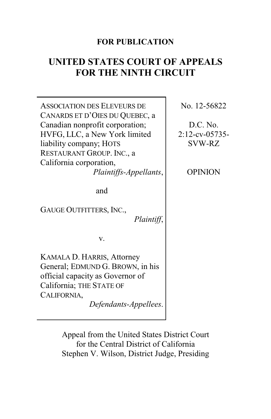# **FOR PUBLICATION**

# **UNITED STATES COURT OF APPEALS FOR THE NINTH CIRCUIT**

| <b>ASSOCIATION DES ELEVEURS DE</b><br>CANARDS ET D'OIES DU QUEBEC, a<br>Canadian nonprofit corporation;<br>HVFG, LLC, a New York limited<br>liability company; HOTS<br>RESTAURANT GROUP. INC., a<br>California corporation,<br>Plaintiffs-Appellants, | No. 12-56822<br>$D.C.$ No.<br>2:12-cv-05735-<br><b>SVW-RZ</b><br><b>OPINION</b> |
|-------------------------------------------------------------------------------------------------------------------------------------------------------------------------------------------------------------------------------------------------------|---------------------------------------------------------------------------------|
| and<br><b>GAUGE OUTFITTERS, INC.,</b><br>Plaintiff,<br>V.                                                                                                                                                                                             |                                                                                 |
| KAMALA D. HARRIS, Attorney<br>General; EDMUND G. BROWN, in his<br>official capacity as Governor of<br>California; THE STATE OF<br>CALIFORNIA,<br>Defendants-Appellees.                                                                                |                                                                                 |

Appeal from the United States District Court for the Central District of California Stephen V. Wilson, District Judge, Presiding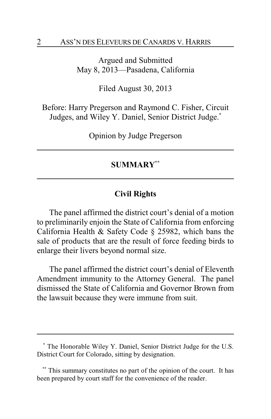Argued and Submitted May 8, 2013—Pasadena, California

Filed August 30, 2013

Before: Harry Pregerson and Raymond C. Fisher, Circuit Judges, and Wiley Y. Daniel, Senior District Judge.**\***

Opinion by Judge Pregerson

## **SUMMARY\*\***

## **Civil Rights**

The panel affirmed the district court's denial of a motion to preliminarily enjoin the State of California from enforcing California Health & Safety Code § 25982, which bans the sale of products that are the result of force feeding birds to enlarge their livers beyond normal size.

The panel affirmed the district court's denial of Eleventh Amendment immunity to the Attorney General. The panel dismissed the State of California and Governor Brown from the lawsuit because they were immune from suit.

**<sup>\*</sup>** The Honorable Wiley Y. Daniel, Senior District Judge for the U.S. District Court for Colorado, sitting by designation.

**<sup>\*\*</sup>** This summary constitutes no part of the opinion of the court. It has been prepared by court staff for the convenience of the reader.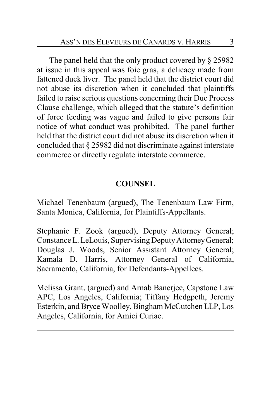The panel held that the only product covered by § 25982 at issue in this appeal was foie gras, a delicacy made from fattened duck liver. The panel held that the district court did not abuse its discretion when it concluded that plaintiffs failed to raise serious questions concerning their Due Process Clause challenge, which alleged that the statute's definition of force feeding was vague and failed to give persons fair notice of what conduct was prohibited. The panel further held that the district court did not abuse its discretion when it concluded that § 25982 did not discriminate against interstate commerce or directly regulate interstate commerce.

## **COUNSEL**

Michael Tenenbaum (argued), The Tenenbaum Law Firm, Santa Monica, California, for Plaintiffs-Appellants.

Stephanie F. Zook (argued), Deputy Attorney General; Constance L. LeLouis, Supervising Deputy Attorney General; Douglas J. Woods, Senior Assistant Attorney General; Kamala D. Harris, Attorney General of California, Sacramento, California, for Defendants-Appellees.

Melissa Grant, (argued) and Arnab Banerjee, Capstone Law APC, Los Angeles, California; Tiffany Hedgpeth, Jeremy Esterkin, and Bryce Woolley, Bingham McCutchen LLP, Los Angeles, California, for Amici Curiae.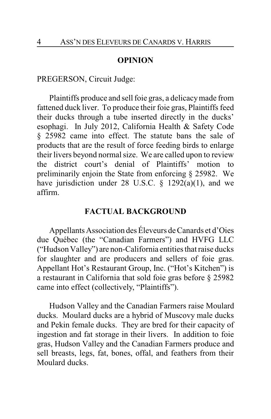#### **OPINION**

PREGERSON, Circuit Judge:

Plaintiffs produce and sell foie gras, a delicacymade from fattened duck liver. To produce their foie gras, Plaintiffs feed their ducks through a tube inserted directly in the ducks' esophagi. In July 2012, California Health & Safety Code § 25982 came into effect. The statute bans the sale of products that are the result of force feeding birds to enlarge their livers beyond normal size. We are called upon to review the district court's denial of Plaintiffs' motion to preliminarily enjoin the State from enforcing § 25982. We have jurisdiction under 28 U.S.C.  $\S$  1292(a)(1), and we affirm.

#### **FACTUAL BACKGROUND**

Appellants Association des Éleveurs de Canards et d'Oies due Québec (the "Canadian Farmers") and HVFG LLC ("Hudson Valley") are non-California entities that raise ducks for slaughter and are producers and sellers of foie gras. Appellant Hot's Restaurant Group, Inc. ("Hot's Kitchen") is a restaurant in California that sold foie gras before § 25982 came into effect (collectively, "Plaintiffs").

Hudson Valley and the Canadian Farmers raise Moulard ducks. Moulard ducks are a hybrid of Muscovy male ducks and Pekin female ducks. They are bred for their capacity of ingestion and fat storage in their livers. In addition to foie gras, Hudson Valley and the Canadian Farmers produce and sell breasts, legs, fat, bones, offal, and feathers from their Moulard ducks.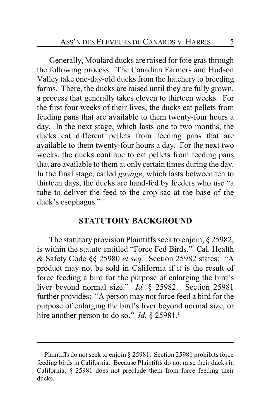Generally, Moulard ducks are raised for foie gras through the following process. The Canadian Farmers and Hudson Valley take one-day-old ducks from the hatchery to breeding farms. There, the ducks are raised until they are fully grown, a process that generally takes eleven to thirteen weeks. For the first four weeks of their lives, the ducks eat pellets from feeding pans that are available to them twenty-four hours a day. In the next stage, which lasts one to two months, the ducks eat different pellets from feeding pans that are available to them twenty-four hours a day. For the next two weeks, the ducks continue to eat pellets from feeding pans that are available to them at only certain times during the day. In the final stage, called *gavage*, which lasts between ten to thirteen days, the ducks are hand-fed by feeders who use "a tube to deliver the feed to the crop sac at the base of the duck's esophagus."

## **STATUTORY BACKGROUND**

The statutory provision Plaintiffs seek to enjoin, § 25982, is within the statute entitled "Force Fed Birds." Cal. Health & Safety Code §§ 25980 *et seq.* Section 25982 states: "A product may not be sold in California if it is the result of force feeding a bird for the purpose of enlarging the bird's liver beyond normal size." *Id.* § 25982. Section 25981 further provides: "A person may not force feed a bird for the purpose of enlarging the bird's liver beyond normal size, or hire another person to do so." *Id.* § 25981.<sup>1</sup>

**<sup>1</sup>** Plaintiffs do not seek to enjoin § 25981. Section 25981 prohibits force feeding birds in California. Because Plaintiffs do not raise their ducks in California, § 25981 does not preclude them from force feeding their ducks.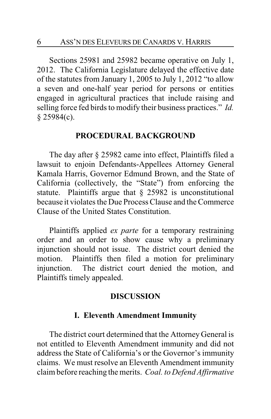Sections 25981 and 25982 became operative on July 1, 2012. The California Legislature delayed the effective date of the statutes from January 1, 2005 to July 1, 2012 "to allow a seven and one-half year period for persons or entities engaged in agricultural practices that include raising and selling force fed birds to modify their business practices." *Id.* § 25984(c).

#### **PROCEDURAL BACKGROUND**

The day after § 25982 came into effect, Plaintiffs filed a lawsuit to enjoin Defendants-Appellees Attorney General Kamala Harris, Governor Edmund Brown, and the State of California (collectively, the "State") from enforcing the statute. Plaintiffs argue that § 25982 is unconstitutional because it violates the Due Process Clause and the Commerce Clause of the United States Constitution.

Plaintiffs applied *ex parte* for a temporary restraining order and an order to show cause why a preliminary injunction should not issue. The district court denied the motion. Plaintiffs then filed a motion for preliminary injunction. The district court denied the motion, and Plaintiffs timely appealed.

#### **DISCUSSION**

#### **I. Eleventh Amendment Immunity**

The district court determined that the Attorney General is not entitled to Eleventh Amendment immunity and did not address the State of California's or the Governor's immunity claims. We must resolve an Eleventh Amendment immunity claim before reaching the merits. *Coal. to Defend Affirmative*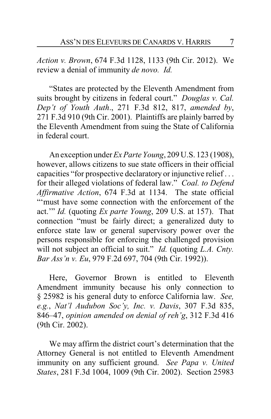*Action v. Brown*, 674 F.3d 1128, 1133 (9th Cir. 2012). We review a denial of immunity *de novo. Id.*

"States are protected by the Eleventh Amendment from suits brought by citizens in federal court." *Douglas v. Cal. Dep't of Youth Auth*., 271 F.3d 812, 817, *amended by*, 271 F.3d 910 (9th Cir. 2001). Plaintiffs are plainly barred by the Eleventh Amendment from suing the State of California in federal court.

An exception under *Ex Parte Young*, 209 U.S. 123 (1908), however, allows citizens to sue state officers in their official capacities "for prospective declaratory or injunctive relief . . . for their alleged violations of federal law." *Coal. to Defend Affirmative Action*, 674 F.3d at 1134. The state official "'must have some connection with the enforcement of the act.'" *Id.* (quoting *Ex parte Young*, 209 U.S. at 157). That connection "must be fairly direct; a generalized duty to enforce state law or general supervisory power over the persons responsible for enforcing the challenged provision will not subject an official to suit." *Id.* (quoting *L.A. Cnty. Bar Ass'n v. Eu*, 979 F.2d 697, 704 (9th Cir. 1992)).

Here, Governor Brown is entitled to Eleventh Amendment immunity because his only connection to § 25982 is his general duty to enforce California law. *See, e.g.*, *Nat'l Audubon Soc'y, Inc. v. Davis*, 307 F.3d 835, 846–47, *opinion amended on denial of reh'g*, 312 F.3d 416 (9th Cir. 2002).

We may affirm the district court's determination that the Attorney General is not entitled to Eleventh Amendment immunity on any sufficient ground. *See Papa v. United States*, 281 F.3d 1004, 1009 (9th Cir. 2002). Section 25983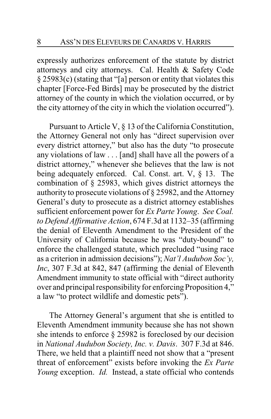expressly authorizes enforcement of the statute by district attorneys and city attorneys. Cal. Health & Safety Code § 25983(c) (stating that "[a] person or entity that violates this chapter [Force-Fed Birds] may be prosecuted by the district attorney of the county in which the violation occurred, or by the city attorney of the city in which the violation occurred").

Pursuant to Article V, § 13 of the California Constitution, the Attorney General not only has "direct supervision over every district attorney," but also has the duty "to prosecute any violations of law . . . [and] shall have all the powers of a district attorney," whenever she believes that the law is not being adequately enforced. Cal. Const. art. V, § 13. The combination of § 25983, which gives district attorneys the authority to prosecute violations of § 25982, and the Attorney General's duty to prosecute as a district attorney establishes sufficient enforcement power for *Ex Parte Young*. *See Coal. to Defend Affirmative Action*, 674 F.3d at 1132–35 (affirming the denial of Eleventh Amendment to the President of the University of California because he was "duty-bound" to enforce the challenged statute, which precluded "using race as a criterion in admission decisions"); *Nat'l Audubon Soc'y, Inc*, 307 F.3d at 842, 847 (affirming the denial of Eleventh Amendment immunity to state official with "direct authority over and principal responsibility for enforcing Proposition 4," a law "to protect wildlife and domestic pets").

The Attorney General's argument that she is entitled to Eleventh Amendment immunity because she has not shown she intends to enforce § 25982 is foreclosed by our decision in *National Audubon Society, Inc. v. Davis*. 307 F.3d at 846. There, we held that a plaintiff need not show that a "present threat of enforcement" exists before invoking the *Ex Parte Young* exception. *Id.* Instead, a state official who contends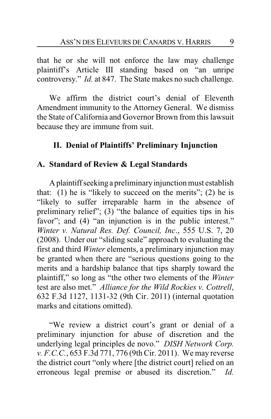that he or she will not enforce the law may challenge plaintiff's Article III standing based on "an unripe controversy." *Id.* at 847. The State makes no such challenge.

We affirm the district court's denial of Eleventh Amendment immunity to the Attorney General. We dismiss the State of California and Governor Brown from this lawsuit because they are immune from suit.

## **II. Denial of Plaintiffs' Preliminary Injunction**

#### **A. Standard of Review & Legal Standards**

Aplaintiffseeking a preliminaryinjunction must establish that:  $(1)$  he is "likely to succeed on the merits";  $(2)$  he is "likely to suffer irreparable harm in the absence of preliminary relief";  $(3)$  "the balance of equities tips in his favor"; and (4) "an injunction is in the public interest." *Winter v. Natural Res. Def. Council, Inc*., 555 U.S. 7, 20 (2008). Under our "sliding scale" approach to evaluating the first and third *Winter* elements, a preliminary injunction may be granted when there are "serious questions going to the merits and a hardship balance that tips sharply toward the plaintiff," so long as "the other two elements of the *Winter* test are also met." *Alliance for the Wild Rockies v. Cottrell*, 632 F.3d 1127, 1131-32 (9th Cir. 2011) (internal quotation marks and citations omitted).

"We review a district court's grant or denial of a preliminary injunction for abuse of discretion and the underlying legal principles de novo." *DISH Network Corp. v. F.C.C.*, 653 F.3d 771, 776 (9th Cir. 2011). We may reverse the district court "only where [the district court] relied on an erroneous legal premise or abused its discretion." *Id.*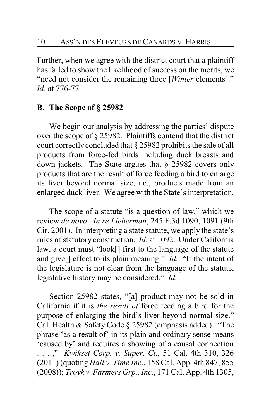Further, when we agree with the district court that a plaintiff has failed to show the likelihood of success on the merits, we "need not consider the remaining three [*Winter* elements]." *Id*. at 776-77.

## **B. The Scope of § 25982**

We begin our analysis by addressing the parties' dispute over the scope of § 25982. Plaintiffs contend that the district court correctlyconcluded that § 25982 prohibits the sale of all products from force-fed birds including duck breasts and down jackets. The State argues that § 25982 covers only products that are the result of force feeding a bird to enlarge its liver beyond normal size, i.e., products made from an enlarged duck liver. We agree with the State's interpretation.

The scope of a statute "is a question of law," which we review *de novo*. *In re Lieberman*, 245 F.3d 1090, 1091 (9th Cir. 2001). In interpreting a state statute, we apply the state's rules of statutory construction. *Id.* at 1092. Under California law, a court must "look[] first to the language of the statute and give[] effect to its plain meaning." *Id.* "If the intent of the legislature is not clear from the language of the statute, legislative history may be considered." *Id.*

Section 25982 states, "[a] product may not be sold in California if it is *the result of* force feeding a bird for the purpose of enlarging the bird's liver beyond normal size." Cal. Health & Safety Code § 25982 (emphasis added). "The phrase 'as a result of' in its plain and ordinary sense means 'caused by' and requires a showing of a causal connection . . . ," *Kwikset Corp. v. Super. Ct.*, 51 Cal. 4th 310, 326 (2011) (quoting *Hall v. Time Inc*., 158 Cal. App. 4th 847, 855 (2008)); *Troyk v. Farmers Grp., Inc.*, 171 Cal. App. 4th 1305,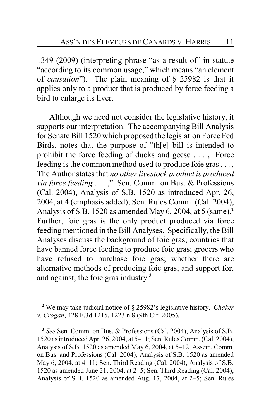1349 (2009) (interpreting phrase "as a result of" in statute "according to its common usage," which means "an element of *causation*"). The plain meaning of § 25982 is that it applies only to a product that is produced by force feeding a bird to enlarge its liver.

Although we need not consider the legislative history, it supports our interpretation. The accompanying Bill Analysis for Senate Bill 1520 which proposed the legislation Force Fed Birds, notes that the purpose of "th[e] bill is intended to prohibit the force feeding of ducks and geese . . . , Force feeding is the common method used to produce foie gras . . . , The Author states that *no other livestock product is produced via force feeding* . . . ," Sen. Comm. on Bus. & Professions (Cal. 2004), Analysis of S.B. 1520 as introduced Apr. 26, 2004, at 4 (emphasis added); Sen. Rules Comm. (Cal. 2004), Analysis of S.B. 1520 as amended May 6, 2004, at 5 (same).**<sup>2</sup>** Further, foie gras is the only product produced via force feeding mentioned in the Bill Analyses. Specifically, the Bill Analyses discuss the background of foie gras; countries that have banned force feeding to produce foie gras; grocers who have refused to purchase foie gras; whether there are alternative methods of producing foie gras; and support for, and against, the foie gras industry. **3**

**<sup>2</sup>** We may take judicial notice of § 25982's legislative history. *Chaker v. Crogan*, 428 F.3d 1215, 1223 n.8 (9th Cir. 2005).

**<sup>3</sup>** *See* Sen. Comm. on Bus. & Professions (Cal. 2004), Analysis of S.B. 1520 as introduced Apr. 26, 2004, at 5–11; Sen. Rules Comm. (Cal. 2004), Analysis of S.B. 1520 as amended May 6, 2004, at 5–12; Assem. Comm. on Bus. and Professions (Cal. 2004), Analysis of S.B. 1520 as amended May 6, 2004, at 4–11; Sen. Third Reading (Cal. 2004), Analysis of S.B. 1520 as amended June 21, 2004, at 2–5; Sen. Third Reading (Cal. 2004), Analysis of S.B. 1520 as amended Aug. 17, 2004, at 2–5; Sen. Rules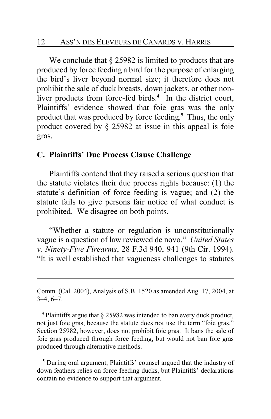We conclude that  $\S 25982$  is limited to products that are produced by force feeding a bird for the purpose of enlarging the bird's liver beyond normal size; it therefore does not prohibit the sale of duck breasts, down jackets, or other nonliver products from force-fed birds.**<sup>4</sup>** In the district court, Plaintiffs' evidence showed that foie gras was the only product that was produced by force feeding. **<sup>5</sup>** Thus, the only product covered by § 25982 at issue in this appeal is foie gras.

#### **C. Plaintiffs' Due Process Clause Challenge**

Plaintiffs contend that they raised a serious question that the statute violates their due process rights because: (1) the statute's definition of force feeding is vague; and (2) the statute fails to give persons fair notice of what conduct is prohibited. We disagree on both points.

"Whether a statute or regulation is unconstitutionally vague is a question of law reviewed de novo." *United States v. Ninety-Five Firearms*, 28 F.3d 940, 941 (9th Cir. 1994). "It is well established that vagueness challenges to statutes

**<sup>4</sup>** Plaintiffs argue that § 25982 was intended to ban every duck product, not just foie gras, because the statute does not use the term "foie gras." Section 25982, however, does not prohibit foie gras. It bans the sale of foie gras produced through force feeding, but would not ban foie gras produced through alternative methods.

**<sup>5</sup>** During oral argument, Plaintiffs' counsel argued that the industry of down feathers relies on force feeding ducks, but Plaintiffs' declarations contain no evidence to support that argument.

Comm. (Cal. 2004), Analysis of S.B. 1520 as amended Aug. 17, 2004, at  $3-4, 6-7.$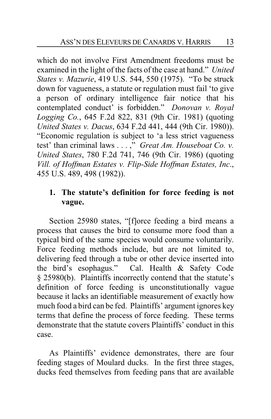which do not involve First Amendment freedoms must be examined in the light of the facts of the case at hand." *United States v. Mazurie*, 419 U.S. 544, 550 (1975). "To be struck down for vagueness, a statute or regulation must fail 'to give a person of ordinary intelligence fair notice that his contemplated conduct' is forbidden." *Donovan v. Royal Logging Co.*, 645 F.2d 822, 831 (9th Cir. 1981) (quoting *United States v. Dacus*, 634 F.2d 441, 444 (9th Cir. 1980)). "Economic regulation is subject to 'a less strict vagueness test' than criminal laws . . . ," *Great Am. Houseboat Co. v. United States*, 780 F.2d 741, 746 (9th Cir. 1986) (quoting *Vill. of Hoffman Estates v. Flip-Side Hoffman Estates, Inc*., 455 U.S. 489, 498 (1982)).

# **1. The statute's definition for force feeding is not vague.**

Section 25980 states, "[f]orce feeding a bird means a process that causes the bird to consume more food than a typical bird of the same species would consume voluntarily. Force feeding methods include, but are not limited to, delivering feed through a tube or other device inserted into the bird's esophagus." Cal. Health & Safety Code § 25980(b). Plaintiffs incorrectly contend that the statute's definition of force feeding is unconstitutionally vague because it lacks an identifiable measurement of exactly how much food a bird can be fed. Plaintiffs' argument ignores key terms that define the process of force feeding. These terms demonstrate that the statute covers Plaintiffs' conduct in this case.

As Plaintiffs' evidence demonstrates, there are four feeding stages of Moulard ducks. In the first three stages, ducks feed themselves from feeding pans that are available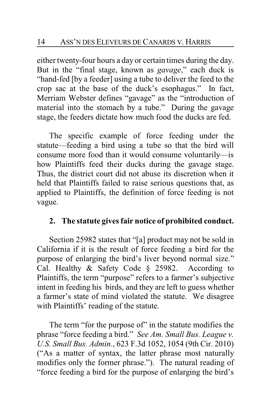either twenty-four hours a day or certain times during the day. But in the "final stage, known as *gavage*," each duck is "hand-fed [by a feeder] using a tube to deliver the feed to the crop sac at the base of the duck's esophagus." In fact, Merriam Webster defines "gavage" as the "introduction of material into the stomach by a tube." During the gavage stage, the feeders dictate how much food the ducks are fed.

The specific example of force feeding under the statute—feeding a bird using a tube so that the bird will consume more food than it would consume voluntarily—is how Plaintiffs feed their ducks during the gavage stage. Thus, the district court did not abuse its discretion when it held that Plaintiffs failed to raise serious questions that, as applied to Plaintiffs, the definition of force feeding is not vague.

## **2. The statute gives fair notice of prohibited conduct.**

Section 25982 states that "[a] product may not be sold in California if it is the result of force feeding a bird for the purpose of enlarging the bird's liver beyond normal size." Cal. Healthy & Safety Code § 25982. According to Plaintiffs, the term "purpose" refers to a farmer's subjective intent in feeding his birds, and they are left to guess whether a farmer's state of mind violated the statute. We disagree with Plaintiffs' reading of the statute.

The term "for the purpose of" in the statute modifies the phrase "force feeding a bird." *See Am. Small Bus. League v. U.S. Small Bus. Admin.*, 623 F.3d 1052, 1054 (9th Cir. 2010) ("As a matter of syntax, the latter phrase most naturally modifies only the former phrase."). The natural reading of "force feeding a bird for the purpose of enlarging the bird's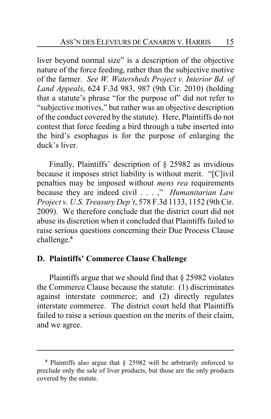liver beyond normal size" is a description of the objective nature of the force feeding, rather than the subjective motive of the farmer. *See W. Watersheds Project v. Interior Bd. of Land Appeals*, 624 F.3d 983, 987 (9th Cir. 2010) (holding that a statute's phrase "for the purpose of" did not refer to "subjective motives," but rather was an objective description of the conduct covered by the statute). Here, Plaintiffs do not contest that force feeding a bird through a tube inserted into the bird's esophagus is for the purpose of enlarging the duck's liver.

Finally, Plaintiffs' description of § 25982 as invidious because it imposes strict liability is without merit. "[C]ivil penalties may be imposed without *mens rea* requirements because they are indeed civil . . . ," *Humanitarian Law Project v. U.S. Treasury Dep't*, 578 F.3d 1133, 1152 (9th Cir. 2009). We therefore conclude that the district court did not abuse its discretion when it concluded that Plaintiffs failed to raise serious questions concerning their Due Process Clause challenge.**<sup>6</sup>**

## **D. Plaintiffs' Commerce Clause Challenge**

Plaintiffs argue that we should find that § 25982 violates the Commerce Clause because the statute: (1) discriminates against interstate commerce; and (2) directly regulates interstate commerce. The district court held that Plaintiffs failed to raise a serious question on the merits of their claim, and we agree.

**<sup>6</sup>** Plaintiffs also argue that § 25982 will be arbitrarily enforced to preclude only the sale of liver products, but those are the only products covered by the statute.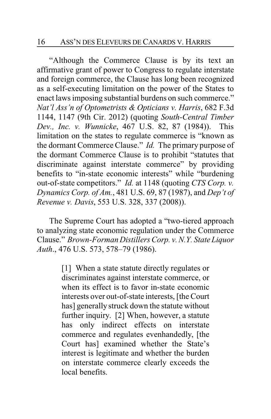#### 16 ASS'N DES ELEVEURS DE CANARDS V. HARRIS

"Although the Commerce Clause is by its text an affirmative grant of power to Congress to regulate interstate and foreign commerce, the Clause has long been recognized as a self-executing limitation on the power of the States to enact laws imposing substantial burdens on such commerce." *Nat'l Ass'n of Optometrists & Opticians v. Harris*, 682 F.3d 1144, 1147 (9th Cir. 2012) (quoting *South-Central Timber Dev., Inc. v. Wunnicke*, 467 U.S. 82, 87 (1984)). This limitation on the states to regulate commerce is "known as the dormant Commerce Clause." *Id.* The primary purpose of the dormant Commerce Clause is to prohibit "statutes that discriminate against interstate commerce" by providing benefits to "in-state economic interests" while "burdening out-of-state competitors." *Id.* at 1148 (quoting *CTS Corp. v. Dynamics Corp. of Am.*, 481 U.S. 69, 87 (1987), and *Dep't of Revenue v. Davis*, 553 U.S. 328, 337 (2008)).

The Supreme Court has adopted a "two-tiered approach to analyzing state economic regulation under the Commerce Clause." *Brown-Forman Distillers Corp. v.N.Y. State Liquor Auth*., 476 U.S. 573, 578–79 (1986).

> [1] When a state statute directly regulates or discriminates against interstate commerce, or when its effect is to favor in-state economic interests over out-of-state interests, [the Court has] generally struck down the statute without further inquiry. [2] When, however, a statute has only indirect effects on interstate commerce and regulates evenhandedly, [the Court has] examined whether the State's interest is legitimate and whether the burden on interstate commerce clearly exceeds the local benefits.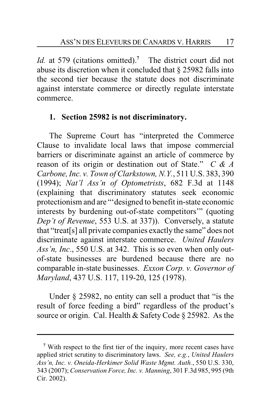*Id.* at 579 (citations omitted).**<sup>7</sup>** The district court did not abuse its discretion when it concluded that § 25982 falls into the second tier because the statute does not discriminate against interstate commerce or directly regulate interstate commerce.

## **1. Section 25982 is not discriminatory.**

The Supreme Court has "interpreted the Commerce Clause to invalidate local laws that impose commercial barriers or discriminate against an article of commerce by reason of its origin or destination out of State." *C & A Carbone, Inc. v. Town of Clarkstown, N.Y.*, 511 U.S. 383, 390 (1994); *Nat'l Ass'n of Optometrists*, 682 F.3d at 1148 (explaining that discriminatory statutes seek economic protectionism and are "'designed to benefit in-state economic interests by burdening out-of-state competitors'" (quoting *Dep't of Revenue*, 553 U.S. at 337)). Conversely, a statute that "treat[s] all private companies exactly the same" does not discriminate against interstate commerce. *United Haulers Ass'n, Inc*., 550 U.S. at 342. This is so even when only outof-state businesses are burdened because there are no comparable in-state businesses. *Exxon Corp. v. Governor of Maryland*, 437 U.S. 117, 119-20, 125 (1978).

Under § 25982, no entity can sell a product that "is the result of force feeding a bird" regardless of the product's source or origin. Cal. Health & Safety Code § 25982. As the

**<sup>7</sup>** With respect to the first tier of the inquiry, more recent cases have applied strict scrutiny to discriminatory laws. *See, e.g.*, *United Haulers Ass'n, Inc. v. Oneida-Herkimer Solid Waste Mgmt. Auth.*, 550 U.S. 330, 343 (2007); *Conservation Force, Inc. v. Manning*, 301 F.3d 985, 995 (9th Cir. 2002).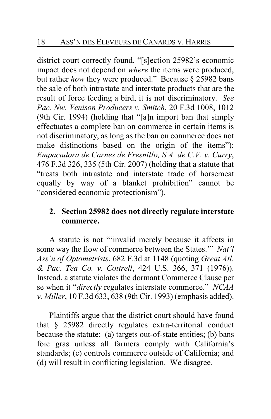district court correctly found, "[s]ection 25982's economic impact does not depend on *where* the items were produced, but rather *how* they were produced." Because § 25982 bans the sale of both intrastate and interstate products that are the result of force feeding a bird, it is not discriminatory. *See Pac. Nw. Venison Producers v. Smitch*, 20 F.3d 1008, 1012 (9th Cir. 1994) (holding that "[a]n import ban that simply effectuates a complete ban on commerce in certain items is not discriminatory, as long as the ban on commerce does not make distinctions based on the origin of the items"); *Empacadora de Carnes de Fresnillo, S.A. de C.V. v. Curry*, 476 F.3d 326, 335 (5th Cir. 2007) (holding that a statute that "treats both intrastate and interstate trade of horsemeat equally by way of a blanket prohibition" cannot be "considered economic protectionism").

# **2. Section 25982 does not directly regulate interstate commerce.**

A statute is not "'invalid merely because it affects in some way the flow of commerce between the States.'" *Nat'l Ass'n of Optometrists*, 682 F.3d at 1148 (quoting *Great Atl. & Pac. Tea Co. v. Cottrell*, 424 U.S. 366, 371 (1976)). Instead, a statute violates the dormant Commerce Clause per se when it "*directly* regulates interstate commerce." *NCAA v. Miller*, 10 F.3d 633, 638 (9th Cir. 1993) (emphasis added).

Plaintiffs argue that the district court should have found that § 25982 directly regulates extra-territorial conduct because the statute: (a) targets out-of-state entities; (b) bans foie gras unless all farmers comply with California's standards; (c) controls commerce outside of California; and (d) will result in conflicting legislation. We disagree.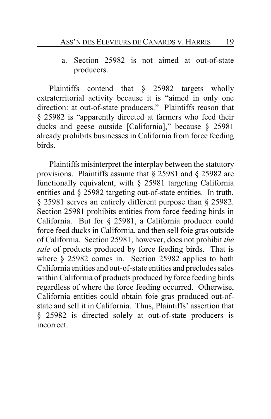a. Section 25982 is not aimed at out-of-state producers.

Plaintiffs contend that § 25982 targets wholly extraterritorial activity because it is "aimed in only one direction: at out-of-state producers." Plaintiffs reason that § 25982 is "apparently directed at farmers who feed their ducks and geese outside [California]," because § 25981 already prohibits businesses in California from force feeding birds.

Plaintiffs misinterpret the interplay between the statutory provisions. Plaintiffs assume that § 25981 and § 25982 are functionally equivalent, with § 25981 targeting California entities and § 25982 targeting out-of-state entities. In truth, § 25981 serves an entirely different purpose than § 25982. Section 25981 prohibits entities from force feeding birds in California. But for § 25981, a California producer could force feed ducks in California, and then sell foie gras outside of California. Section 25981, however, does not prohibit *the sale* of products produced by force feeding birds. That is where § 25982 comes in. Section 25982 applies to both California entities and out-of-state entities and precludes sales within California of products produced by force feeding birds regardless of where the force feeding occurred. Otherwise, California entities could obtain foie gras produced out-ofstate and sell it in California. Thus, Plaintiffs' assertion that § 25982 is directed solely at out-of-state producers is incorrect.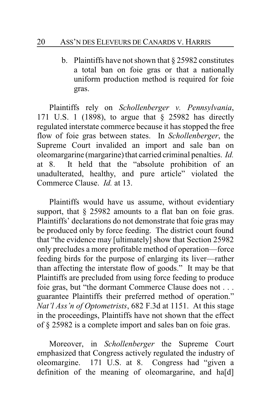b. Plaintiffs have not shown that § 25982 constitutes a total ban on foie gras or that a nationally uniform production method is required for foie gras.

Plaintiffs rely on *Schollenberger v. Pennsylvania*, 171 U.S. 1 (1898), to argue that § 25982 has directly regulated interstate commerce because it has stopped the free flow of foie gras between states. In *Schollenberger*, the Supreme Court invalided an import and sale ban on oleomargarine (margarine) that carried criminal penalties. *Id.* at 8. It held that the "absolute prohibition of an unadulterated, healthy, and pure article" violated the Commerce Clause. *Id.* at 13.

Plaintiffs would have us assume, without evidentiary support, that  $\S$  25982 amounts to a flat ban on foie gras. Plaintiffs' declarations do not demonstrate that foie gras may be produced only by force feeding. The district court found that "the evidence may [ultimately] show that Section 25982 only precludes a more profitable method of operation—force feeding birds for the purpose of enlarging its liver—rather than affecting the interstate flow of goods." It may be that Plaintiffs are precluded from using force feeding to produce foie gras, but "the dormant Commerce Clause does not . . . guarantee Plaintiffs their preferred method of operation." *Nat'l Ass'n of Optometrists*, 682 F.3d at 1151. At this stage in the proceedings, Plaintiffs have not shown that the effect of § 25982 is a complete import and sales ban on foie gras.

Moreover, in *Schollenberger* the Supreme Court emphasized that Congress actively regulated the industry of oleomargine. 171 U.S. at 8. Congress had "given a definition of the meaning of oleomargarine, and ha[d]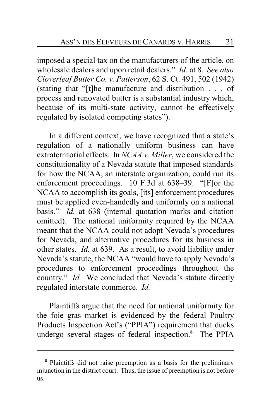imposed a special tax on the manufacturers of the article, on wholesale dealers and upon retail dealers." *Id.* at 8. *See also Cloverleaf Butter Co. v. Patterson*, 62 S. Ct. 491, 502 (1942) (stating that "[t]he manufacture and distribution . . . of process and renovated butter is a substantial industry which, because of its multi-state activity, cannot be effectively regulated by isolated competing states").

In a different context, we have recognized that a state's regulation of a nationally uniform business can have extraterritorial effects. In *NCAA v. Miller*, we considered the constitutionality of a Nevada statute that imposed standards for how the NCAA, an interstate organization, could run its enforcement proceedings. 10 F.3d at 638–39. "[F]or the NCAA to accomplish its goals, [its] enforcement procedures must be applied even-handedly and uniformly on a national basis." *Id.* at 638 (internal quotation marks and citation omitted). The national uniformity required by the NCAA meant that the NCAA could not adopt Nevada's procedures for Nevada, and alternative procedures for its business in other states. *Id.* at 639. As a result, to avoid liability under Nevada's statute, the NCAA "would have to apply Nevada's procedures to enforcement proceedings throughout the country." *Id.* We concluded that Nevada's statute directly regulated interstate commerce. *Id.*

Plaintiffs argue that the need for national uniformity for the foie gras market is evidenced by the federal Poultry Products Inspection Act's ("PPIA") requirement that ducks undergo several stages of federal inspection.**<sup>8</sup>** The PPIA

**<sup>8</sup>** Plaintiffs did not raise preemption as a basis for the preliminary injunction in the district court. Thus, the issue of preemption is not before us.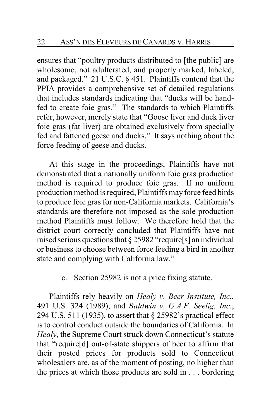ensures that "poultry products distributed to [the public] are wholesome, not adulterated, and properly marked, labeled, and packaged." 21 U.S.C. § 451. Plaintiffs contend that the PPIA provides a comprehensive set of detailed regulations that includes standards indicating that "ducks will be handfed to create foie gras." The standards to which Plaintiffs refer, however, merely state that "Goose liver and duck liver foie gras (fat liver) are obtained exclusively from specially fed and fattened geese and ducks." It says nothing about the force feeding of geese and ducks.

At this stage in the proceedings, Plaintiffs have not demonstrated that a nationally uniform foie gras production method is required to produce foie gras. If no uniform production method is required, Plaintiffs may force feed birds to produce foie gras for non-California markets. California's standards are therefore not imposed as the sole production method Plaintiffs must follow. We therefore hold that the district court correctly concluded that Plaintiffs have not raised serious questions that § 25982 "require[s] an individual or business to choose between force feeding a bird in another state and complying with California law."

c. Section 25982 is not a price fixing statute.

Plaintiffs rely heavily on *Healy v. Beer Institute, Inc.*, 491 U.S. 324 (1989), and *Baldwin v. G.A.F. Seelig, Inc.*, 294 U.S. 511 (1935), to assert that § 25982's practical effect is to control conduct outside the boundaries of California. In *Healy*, the Supreme Court struck down Connecticut's statute that "require[d] out-of-state shippers of beer to affirm that their posted prices for products sold to Connecticut wholesalers are, as of the moment of posting, no higher than the prices at which those products are sold in . . . bordering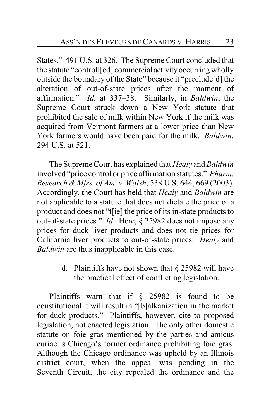States." 491 U.S. at 326. The Supreme Court concluded that the statute "controll[ed] commercial activityoccurringwholly outside the boundary of the State" because it "preclude[d] the alteration of out-of-state prices after the moment of affirmation." *Id.* at 337–38. Similarly, in *Baldwin*, the Supreme Court struck down a New York statute that prohibited the sale of milk within New York if the milk was acquired from Vermont farmers at a lower price than New York farmers would have been paid for the milk. *Baldwin*, 294 U.S. at 521.

The Supreme Court has explained that *Healy* and *Baldwin* involved "price control or price affirmation statutes." *Pharm. Research & Mfrs. of Am. v. Walsh*, 538 U.S. 644, 669 (2003). Accordingly, the Court has held that *Healy* and *Baldwin* are not applicable to a statute that does not dictate the price of a product and does not "t[ie] the price of its in-state products to out-of-state prices." *Id*. Here, § 25982 does not impose any prices for duck liver products and does not tie prices for California liver products to out-of-state prices. *Healy* and *Baldwin* are thus inapplicable in this case.

> d. Plaintiffs have not shown that § 25982 will have the practical effect of conflicting legislation.

Plaintiffs warn that if § 25982 is found to be constitutional it will result in "[b]alkanization in the market for duck products." Plaintiffs, however, cite to proposed legislation, not enacted legislation. The only other domestic statute on foie gras mentioned by the parties and amicus curiae is Chicago's former ordinance prohibiting foie gras. Although the Chicago ordinance was upheld by an Illinois district court, when the appeal was pending in the Seventh Circuit, the city repealed the ordinance and the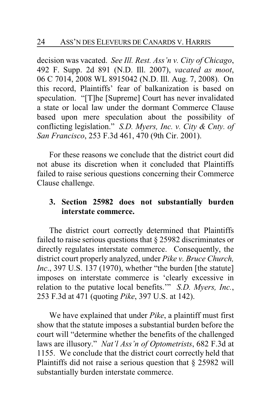decision was vacated. *See Ill. Rest. Ass'n v. City of Chicago*, 492 F. Supp. 2d 891 (N.D. Ill. 2007), *vacated as moot*, 06 C 7014, 2008 WL 8915042 (N.D. Ill. Aug. 7, 2008). On this record, Plaintiffs' fear of balkanization is based on speculation. "[T]he [Supreme] Court has never invalidated a state or local law under the dormant Commerce Clause based upon mere speculation about the possibility of conflicting legislation." *S.D. Myers, Inc. v. City & Cnty. of San Francisco*, 253 F.3d 461, 470 (9th Cir. 2001).

For these reasons we conclude that the district court did not abuse its discretion when it concluded that Plaintiffs failed to raise serious questions concerning their Commerce Clause challenge.

# **3. Section 25982 does not substantially burden interstate commerce.**

The district court correctly determined that Plaintiffs failed to raise serious questions that § 25982 discriminates or directly regulates interstate commerce. Consequently, the district court properly analyzed, under *Pike v. Bruce Church, Inc.*, 397 U.S. 137 (1970), whether "the burden [the statute] imposes on interstate commerce is 'clearly excessive in relation to the putative local benefits.'" *S.D. Myers, Inc.*, 253 F.3d at 471 (quoting *Pike*, 397 U.S. at 142).

We have explained that under *Pike*, a plaintiff must first show that the statute imposes a substantial burden before the court will "determine whether the benefits of the challenged laws are illusory." *Nat'l Ass'n of Optometrists*, 682 F.3d at 1155. We conclude that the district court correctly held that Plaintiffs did not raise a serious question that  $\S$  25982 will substantially burden interstate commerce.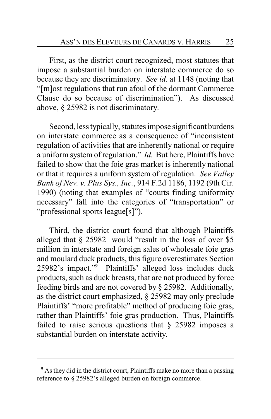First, as the district court recognized, most statutes that impose a substantial burden on interstate commerce do so because they are discriminatory. *See id.* at 1148 (noting that "[m]ost regulations that run afoul of the dormant Commerce Clause do so because of discrimination"). As discussed above, § 25982 is not discriminatory.

Second, less typically, statutes impose significant burdens on interstate commerce as a consequence of "inconsistent regulation of activities that are inherently national or require a uniform system of regulation." *Id.* But here, Plaintiffs have failed to show that the foie gras market is inherently national or that it requires a uniform system of regulation. *See Valley Bank of Nev. v. Plus Sys., Inc.*, 914 F.2d 1186, 1192 (9th Cir. 1990) (noting that examples of "courts finding uniformity necessary" fall into the categories of "transportation" or "professional sports league[s]").

Third, the district court found that although Plaintiffs alleged that § 25982 would "result in the loss of over \$5 million in interstate and foreign sales of wholesale foie gras and moulard duck products, this figure overestimates Section 25982's impact."**<sup>9</sup>** Plaintiffs' alleged loss includes duck products, such as duck breasts, that are not produced by force feeding birds and are not covered by § 25982. Additionally, as the district court emphasized, § 25982 may only preclude Plaintiffs' "more profitable" method of producing foie gras, rather than Plaintiffs' foie gras production. Thus, Plaintiffs failed to raise serious questions that  $\S$  25982 imposes a substantial burden on interstate activity.

**<sup>9</sup>** As they did in the district court, Plaintiffs make no more than a passing reference to § 25982's alleged burden on foreign commerce.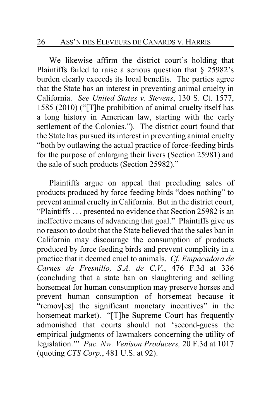We likewise affirm the district court's holding that Plaintiffs failed to raise a serious question that § 25982's burden clearly exceeds its local benefits. The parties agree that the State has an interest in preventing animal cruelty in California. *See United States v. Stevens*, 130 S. Ct. 1577, 1585 (2010) ("[T]he prohibition of animal cruelty itself has a long history in American law, starting with the early settlement of the Colonies."). The district court found that the State has pursued its interest in preventing animal cruelty "both by outlawing the actual practice of force-feeding birds for the purpose of enlarging their livers (Section 25981) and the sale of such products (Section 25982)."

Plaintiffs argue on appeal that precluding sales of products produced by force feeding birds "does nothing" to prevent animal cruelty in California. But in the district court, "Plaintiffs . . . presented no evidence that Section 25982 is an ineffective means of advancing that goal." Plaintiffs give us no reason to doubt that the State believed that the sales ban in California may discourage the consumption of products produced by force feeding birds and prevent complicity in a practice that it deemed cruel to animals. *Cf. Empacadora de Carnes de Fresnillo, S.A. de C.V.*, 476 F.3d at 336 (concluding that a state ban on slaughtering and selling horsemeat for human consumption may preserve horses and prevent human consumption of horsemeat because it "remov[es] the significant monetary incentives" in the horsemeat market). "[T]he Supreme Court has frequently admonished that courts should not 'second-guess the empirical judgments of lawmakers concerning the utility of legislation.'" *Pac. Nw. Venison Producers,* 20 F.3d at 1017 (quoting *CTS Corp.*, 481 U.S. at 92).